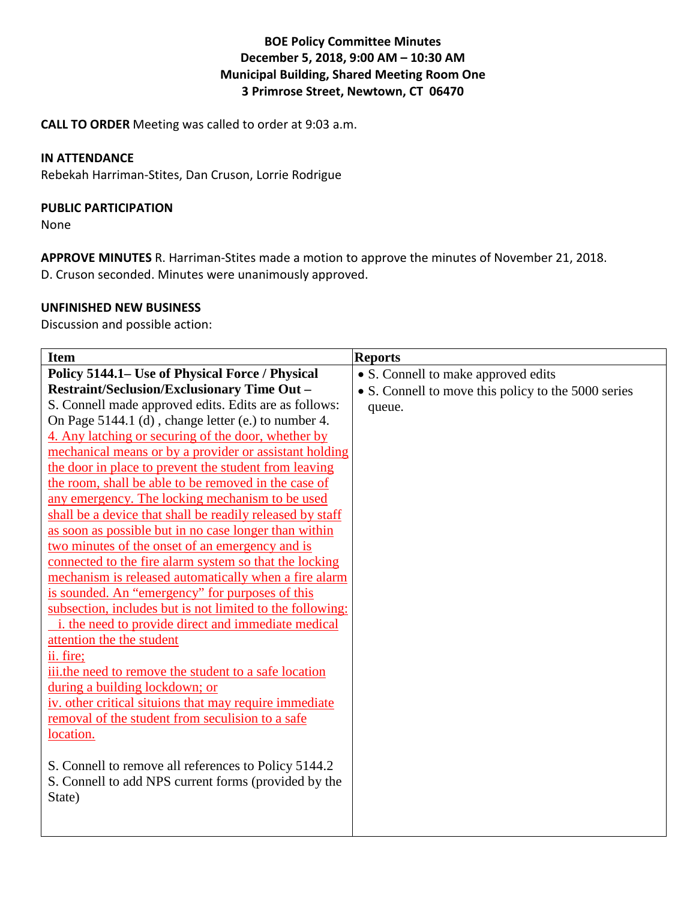# **BOE Policy Committee Minutes December 5, 2018, 9:00 AM – 10:30 AM Municipal Building, Shared Meeting Room One 3 Primrose Street, Newtown, CT 06470**

**CALL TO ORDER** Meeting was called to order at 9:03 a.m.

## **IN ATTENDANCE**

Rebekah Harriman-Stites, Dan Cruson, Lorrie Rodrigue

#### **PUBLIC PARTICIPATION**

None

**APPROVE MINUTES** R. Harriman-Stites made a motion to approve the minutes of November 21, 2018. D. Cruson seconded. Minutes were unanimously approved.

### **UNFINISHED NEW BUSINESS**

Discussion and possible action:

| <b>Item</b>                                               | <b>Reports</b>                                      |
|-----------------------------------------------------------|-----------------------------------------------------|
| Policy 5144.1– Use of Physical Force / Physical           | • S. Connell to make approved edits                 |
| <b>Restraint/Seclusion/Exclusionary Time Out -</b>        | • S. Connell to move this policy to the 5000 series |
| S. Connell made approved edits. Edits are as follows:     | queue.                                              |
| On Page 5144.1 (d), change letter (e.) to number 4.       |                                                     |
| 4. Any latching or securing of the door, whether by       |                                                     |
| mechanical means or by a provider or assistant holding    |                                                     |
| the door in place to prevent the student from leaving     |                                                     |
| the room, shall be able to be removed in the case of      |                                                     |
| any emergency. The locking mechanism to be used           |                                                     |
| shall be a device that shall be readily released by staff |                                                     |
| as soon as possible but in no case longer than within     |                                                     |
| two minutes of the onset of an emergency and is           |                                                     |
| connected to the fire alarm system so that the locking    |                                                     |
| mechanism is released automatically when a fire alarm     |                                                     |
| is sounded. An "emergency" for purposes of this           |                                                     |
| subsection, includes but is not limited to the following: |                                                     |
| i. the need to provide direct and immediate medical       |                                                     |
| attention the the student                                 |                                                     |
| ii. fire;                                                 |                                                     |
| iii.the need to remove the student to a safe location     |                                                     |
| during a building lockdown; or                            |                                                     |
| iv. other critical situions that may require immediate    |                                                     |
| removal of the student from seculision to a safe          |                                                     |
| location.                                                 |                                                     |
|                                                           |                                                     |
| S. Connell to remove all references to Policy 5144.2      |                                                     |
| S. Connell to add NPS current forms (provided by the      |                                                     |
| State)                                                    |                                                     |
|                                                           |                                                     |
|                                                           |                                                     |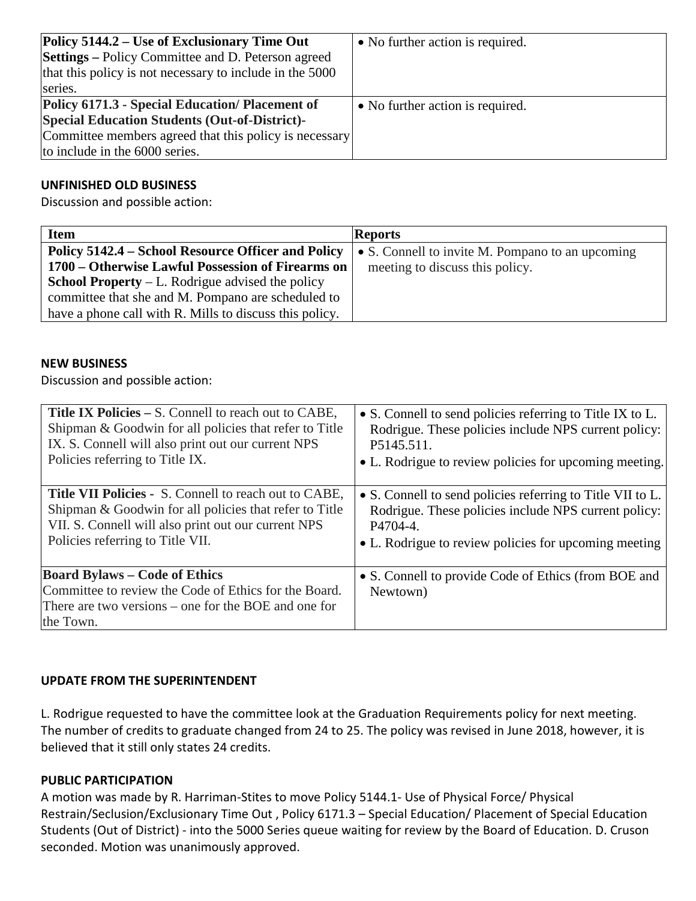| Policy 5144.2 – Use of Exclusionary Time Out<br><b>Settings</b> – Policy Committee and D. Peterson agreed<br>that this policy is not necessary to include in the 5000<br>series. | • No further action is required. |
|----------------------------------------------------------------------------------------------------------------------------------------------------------------------------------|----------------------------------|
| Policy 6171.3 - Special Education/Placement of                                                                                                                                   | • No further action is required. |
| <b>Special Education Students (Out-of-District)-</b>                                                                                                                             |                                  |
| Committee members agreed that this policy is necessary                                                                                                                           |                                  |
| to include in the 6000 series.                                                                                                                                                   |                                  |

# **UNFINISHED OLD BUSINESS**

Discussion and possible action:

| <b>Item</b>                                             | <b>Reports</b>                                   |
|---------------------------------------------------------|--------------------------------------------------|
| Policy 5142.4 – School Resource Officer and Policy      | • S. Connell to invite M. Pompano to an upcoming |
| 1700 – Otherwise Lawful Possession of Firearms on       | meeting to discuss this policy.                  |
| <b>School Property</b> – L. Rodrigue advised the policy |                                                  |
| committee that she and M. Pompano are scheduled to      |                                                  |
| have a phone call with R. Mills to discuss this policy. |                                                  |

#### **NEW BUSINESS**

Discussion and possible action:

| Title IX Policies – S. Connell to reach out to CABE,                                                                                                               | • S. Connell to send policies referring to Title IX to L.        |
|--------------------------------------------------------------------------------------------------------------------------------------------------------------------|------------------------------------------------------------------|
| Shipman & Goodwin for all policies that refer to Title                                                                                                             | Rodrigue. These policies include NPS current policy:             |
| IX. S. Connell will also print out our current NPS                                                                                                                 | P5145.511.                                                       |
| Policies referring to Title IX.                                                                                                                                    | • L. Rodrigue to review policies for upcoming meeting.           |
| <b>Title VII Policies - S. Connell to reach out to CABE,</b>                                                                                                       | • S. Connell to send policies referring to Title VII to L.       |
| Shipman & Goodwin for all policies that refer to Title                                                                                                             | Rodrigue. These policies include NPS current policy:             |
| VII. S. Connell will also print out our current NPS                                                                                                                | P4704-4.                                                         |
| Policies referring to Title VII.                                                                                                                                   | • L. Rodrigue to review policies for upcoming meeting            |
| <b>Board Bylaws – Code of Ethics</b><br>Committee to review the Code of Ethics for the Board.<br>There are two versions – one for the BOE and one for<br>the Town. | • S. Connell to provide Code of Ethics (from BOE and<br>Newtown) |

### **UPDATE FROM THE SUPERINTENDENT**

L. Rodrigue requested to have the committee look at the Graduation Requirements policy for next meeting. The number of credits to graduate changed from 24 to 25. The policy was revised in June 2018, however, it is believed that it still only states 24 credits.

#### **PUBLIC PARTICIPATION**

A motion was made by R. Harriman-Stites to move Policy 5144.1- Use of Physical Force/ Physical Restrain/Seclusion/Exclusionary Time Out , Policy 6171.3 – Special Education/ Placement of Special Education Students (Out of District) - into the 5000 Series queue waiting for review by the Board of Education. D. Cruson seconded. Motion was unanimously approved.